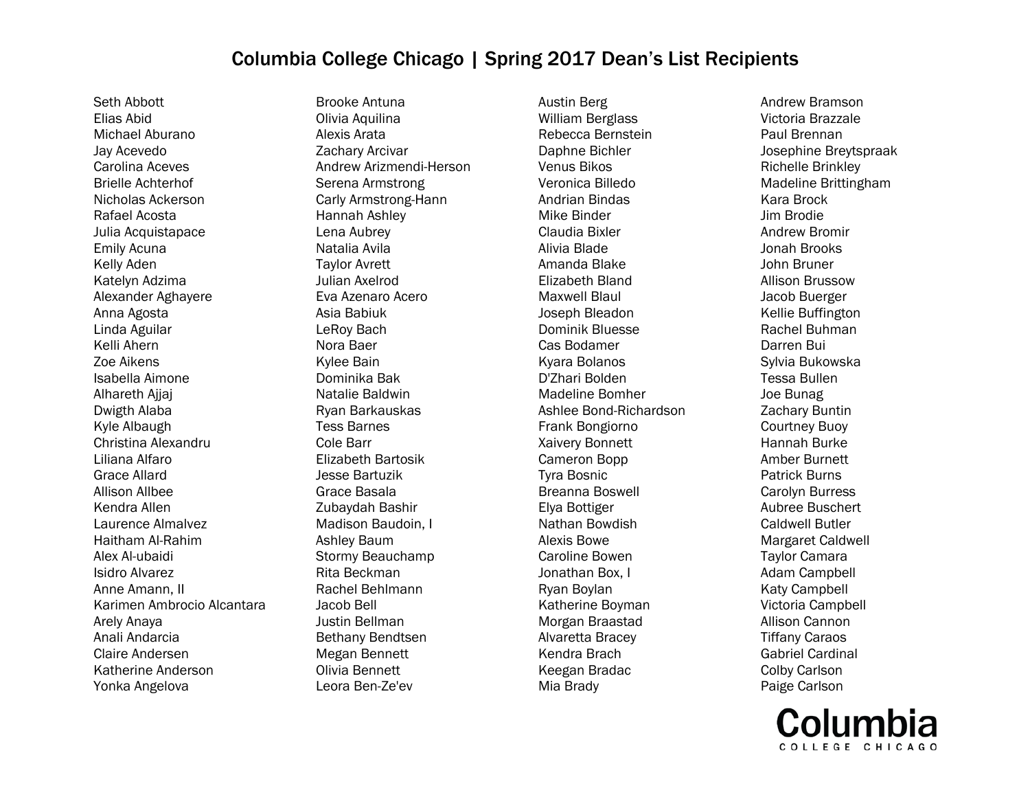Seth Abbott Elias Abid Michael Aburano Jay Acevedo Carolina Aceves Brielle Achterhof Nicholas Ackerson Rafael Acosta Julia Acquistapace Emily Acuna Kelly Aden Katelyn Adzima Alexander Aghayere Anna Agosta Linda Aguilar Kelli Ahern Zoe Aikens Isabella Aimone Alhareth Ajjaj Dwigth Alaba Kyle Albaugh Christina Alexandru Liliana Alfaro Grace Allard Allison Allbee Kendra Allen Laurence Almalvez Haitham Al-Rahim Alex Al-ubaidi Isidro Alvarez Anne Amann, II Karimen Ambrocio Alcantara Arely Anaya Anali Andarcia Claire Andersen Katherine Anderson Yonka Angelova

Brooke Antuna Olivia Aquilina Alexis Arata Zachary Arcivar Andrew Arizmendi-Herson Serena Armstrong Carly Armstrong-Hann Hannah Ashley Lena Aubrey Natalia Avila Taylor Avrett Julian Axelrod Eva Azenaro Acero Asia Babiuk LeRoy Bach Nora Baer Kylee Bain Dominika Bak Natalie Baldwin Ryan Barkauskas Tess Barnes Cole Barr Elizabeth Bartosik Jesse Bartuzik Grace Basala Zubaydah Bashir Madison Baudoin, I Ashley Baum Stormy Beauchamp Rita Beckman Rachel Behlmann Jacob Bell Justin Bellman Bethany Bendtsen Megan Bennett Olivia Bennett Leora Ben-Ze'ev

Austin Berg William Berglass Rebecca Bernstein Daphne Bichler Venus Bikos Veronica Billedo Andrian Bindas Mike Binder Claudia Bixler Alivia Blade Amanda Blake Elizabeth Bland Maxwell Blaul Joseph Bleadon Dominik Bluesse Cas Bodamer Kyara Bolanos D'Zhari Bolden Madeline Bomher Ashlee Bond-Richardson Frank Bongiorno Xaivery Bonnett Cameron Bopp Tyra Bosnic Breanna Boswell Elya Bottiger Nathan Bowdish Alexis Bowe Caroline Bowen Jonathan Box, I Ryan Boylan Katherine Boyman Morgan Braastad Alvaretta Bracey Kendra Brach Keegan Bradac Mia Brady

Andrew Bramson Victoria Brazzale Paul Brennan Josephine Breytspraak Richelle Brinkley Madeline Brittingham Kara Brock Jim Brodie Andrew Bromir Jonah Brooks John Bruner Allison Brussow Jacob Buerger Kellie Buffington Rachel Buhman Darren Bui Sylvia Bukowska Tessa Bullen Joe Bunag Zachary Buntin Courtney Buoy Hannah Burke Amber Burnett Patrick Burns Carolyn Burress Aubree Buschert Caldwell Butler Margaret Caldwell Taylor Camara Adam Campbell Katy Campbell Victoria Campbell Allison Cannon Tiffany Caraos Gabriel Cardinal Colby Carlson Paige Carlson

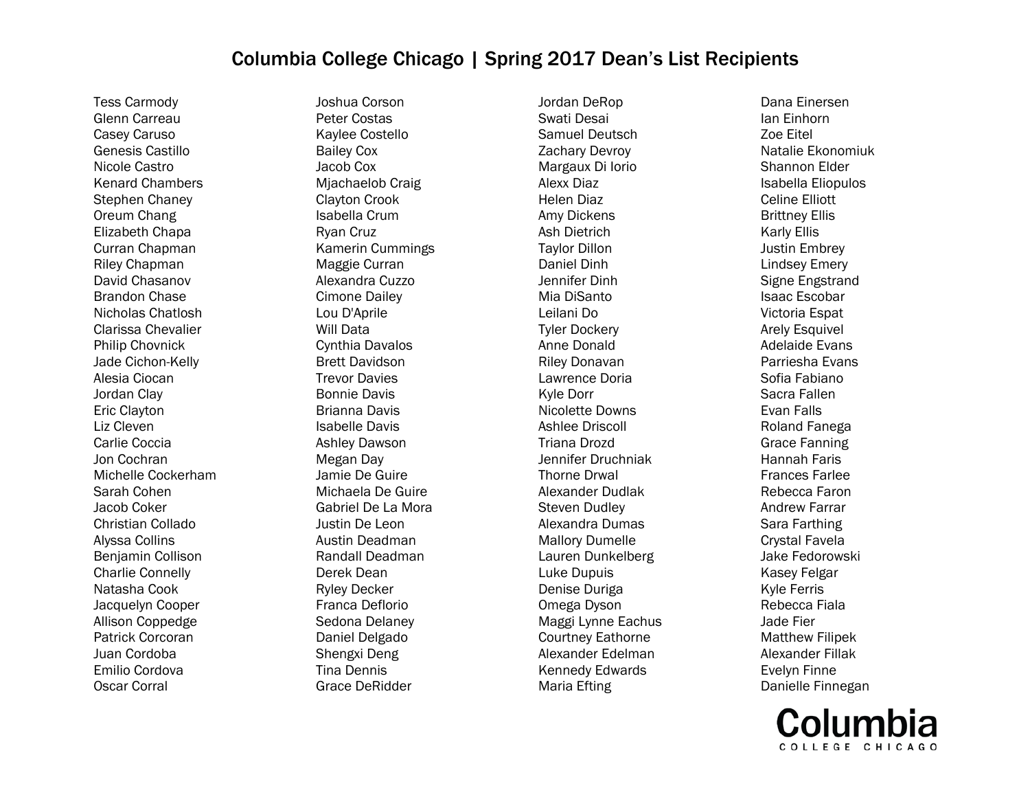Tess Carmody Glenn Carreau Casey Caruso Genesis Castillo Nicole Castro Kenard Chambers Stephen Chaney Oreum Chang Elizabeth Chapa Curran Chapman Riley Chapman David Chasanov Brandon Chase Nicholas Chatlosh Clarissa Chevalier Philip Chovnick Jade Cichon-Kelly Alesia Ciocan Jordan Clay Eric Clayton Liz Cleven Carlie Coccia Jon Cochran Michelle Cockerham Sarah Cohen Jacob Coker Christian Collado Alyssa Collins Benjamin Collison Charlie Connelly Natasha Cook Jacquelyn Cooper Allison Coppedge Patrick Corcoran Juan Cordoba Emilio Cordova Oscar Corral

Joshua Corson Peter Costas Kaylee Costello Bailey Cox Jacob Cox Mjachaelob Craig Clayton Crook Isabella Crum Ryan Cruz Kamerin Cummings Maggie Curran Alexandra Cuzzo Cimone Dailey Lou D'Aprile Will Data Cynthia Davalos Brett Davidson Trevor Davies Bonnie Davis Brianna Davis Isabelle Davis Ashley Dawson Megan Day Jamie De Guire Michaela De Guire Gabriel De La Mora Justin De Leon Austin Deadman Randall Deadman Derek Dean Ryley Decker Franca Deflorio Sedona Delaney Daniel Delgado Shengxi Deng Tina Dennis Grace DeRidder

Jordan DeRop Swati Desai Samuel Deutsch Zachary Devroy Margaux Di Iorio Alexx Diaz Helen Diaz Amy Dickens Ash Dietrich Taylor Dillon Daniel Dinh Jennifer Dinh Mia DiSanto Leilani Do Tyler Dockery Anne Donald Riley Donavan Lawrence Doria Kyle Dorr Nicolette Downs Ashlee Driscoll Triana Drozd Jennifer Druchniak Thorne Drwal Alexander Dudlak Steven Dudley Alexandra Dumas Mallory Dumelle Lauren Dunkelberg Luke Dupuis Denise Duriga Omega Dyson Maggi Lynne Eachus Courtney Eathorne Alexander Edelman Kennedy Edwards Maria Efting

Dana Einersen Ian Einhorn Zoe Eitel Natalie Ekonomiuk Shannon Elder Isabella Eliopulos Celine Elliott Brittney Ellis Karly Ellis Justin Embrey Lindsey Emery Signe Engstrand Isaac Escobar Victoria Espat Arely Esquivel Adelaide Evans Parriesha Evans Sofia Fabiano Sacra Fallen Evan Falls Roland Fanega Grace Fanning Hannah Faris Frances Farlee Rebecca Faron Andrew Farrar Sara Farthing Crystal Favela Jake Fedorowski Kasey Felgar Kyle Ferris Rebecca Fiala Jade Fier Matthew Filipek Alexander Fillak Evelyn Finne Danielle Finnegan

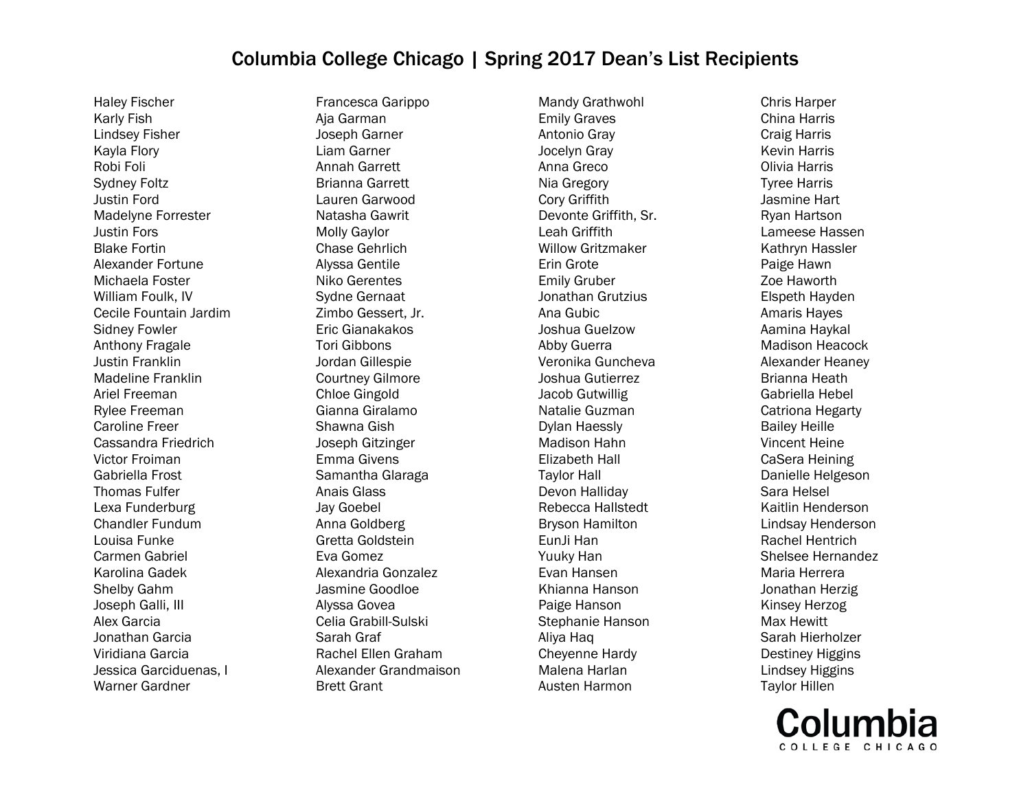Haley Fischer Karly Fish Lindsey Fisher Kayla Flory Robi Foli Sydney Foltz Justin Ford Madelyne Forrester Justin Fors Blake Fortin Alexander Fortune Michaela Foster William Foulk, IV Cecile Fountain Jardim Sidney Fowler Anthony Fragale Justin Franklin Madeline Franklin Ariel Freeman Rylee Freeman Caroline Freer Cassandra Friedrich Victor Froiman Gabriella Frost Thomas Fulfer Lexa Funderburg Chandler Fundum Louisa Funke Carmen Gabriel Karolina Gadek Shelby Gahm Joseph Galli, III Alex Garcia Jonathan Garcia Viridiana Garcia Jessica Garciduenas, I Warner Gardner

Francesca Garippo Aja Garman Joseph Garner Liam Garner Annah Garrett Brianna Garrett Lauren Garwood Natasha Gawrit Molly Gaylor Chase Gehrlich Alyssa Gentile Niko Gerentes Sydne Gernaat Zimbo Gessert, Jr. Eric Gianakakos Tori Gibbons Jordan Gillespie Courtney Gilmore Chloe Gingold Gianna Giralamo Shawna Gish Joseph Gitzinger Emma Givens Samantha Glaraga Anais Glass Jay Goebel Anna Goldberg Gretta Goldstein Eva Gomez Alexandria Gonzalez Jasmine Goodloe Alyssa Govea Celia Grabill-Sulski Sarah Graf Rachel Ellen Graham Alexander Grandmaison Brett Grant

Mandy Grathwohl Emily Graves Antonio Gray Jocelyn Gray Anna Greco Nia Gregory Cory Griffith Devonte Griffith, Sr. Leah Griffith Willow Gritzmaker Erin Grote Emily Gruber Jonathan Grutzius Ana Gubic Joshua Guelzow Abby Guerra Veronika Guncheva Joshua Gutierrez Jacob Gutwillig Natalie Guzman Dylan Haessly Madison Hahn Elizabeth Hall Taylor Hall Devon Halliday Rebecca Hallstedt Bryson Hamilton EunJi Han Yuuky Han Evan Hansen Khianna Hanson Paige Hanson Stephanie Hanson Aliya Haq Cheyenne Hardy Malena Harlan Austen Harmon

Chris Harper China Harris Craig Harris Kevin Harris Olivia Harris Tyree Harris Jasmine Hart Ryan Hartson Lameese Hassen Kathryn Hassler Paige Hawn Zoe Haworth Elspeth Hayden Amaris Hayes Aamina Haykal Madison Heacock Alexander Heaney Brianna Heath Gabriella Hebel Catriona Hegarty Bailey Heille Vincent Heine CaSera Heining Danielle Helgeson Sara Helsel Kaitlin Henderson Lindsay Henderson Rachel Hentrich Shelsee Hernandez Maria Herrera Jonathan Herzig Kinsey Herzog Max Hewitt Sarah Hierholzer Destiney Higgins Lindsey Higgins Taylor Hillen

COLLEGE CHICAGO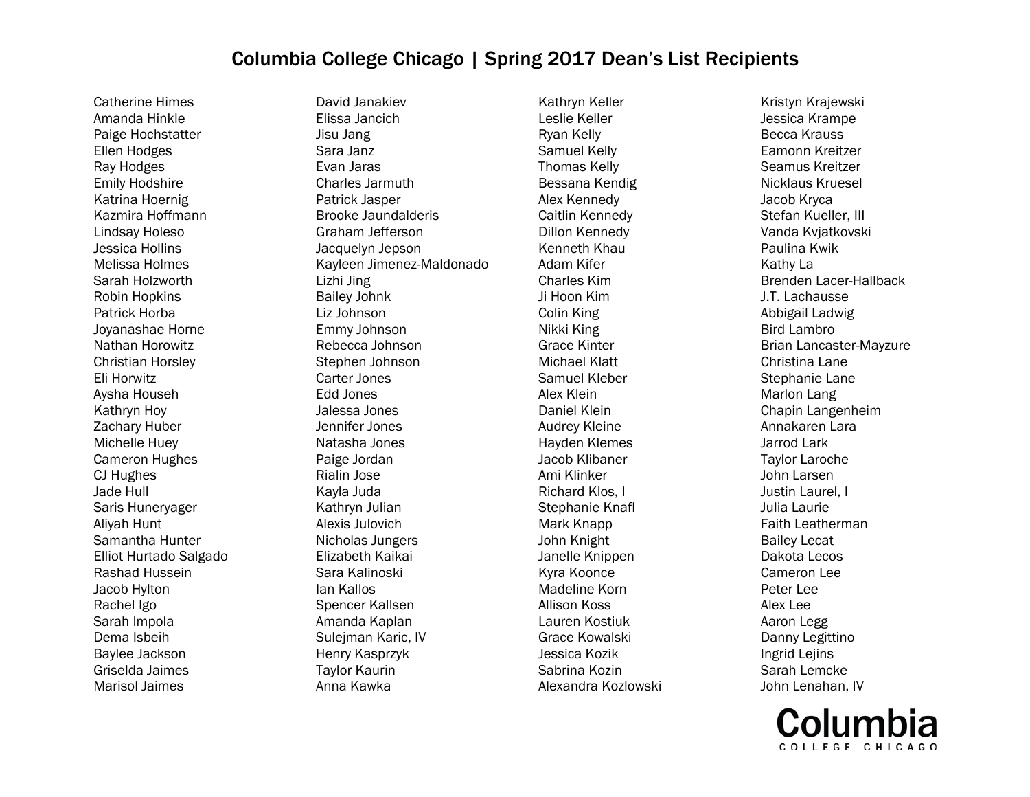Catherine Himes Amanda Hinkle Paige Hochstatter Ellen Hodges Ray Hodges Emily Hodshire Katrina Hoernig Kazmira Hoffmann Lindsay Holeso Jessica Hollins Melissa Holmes Sarah Holzworth Robin Hopkins Patrick Horba Joyanashae Horne Nathan Horowitz Christian Horsley Eli Horwitz Aysha Househ Kathryn Hoy Zachary Huber Michelle Huey Cameron Hughes CJ Hughes Jade Hull Saris Huneryager Aliyah Hunt Samantha Hunter Elliot Hurtado Salgado Rashad Hussein Jacob Hylton Rachel Igo Sarah Impola Dema Isbeih Baylee Jackson Griselda Jaimes Marisol Jaimes

David Janakiev Elissa Jancich Jisu Jang Sara Janz Evan Jaras Charles Jarmuth Patrick Jasper Brooke Jaundalderis Graham Jefferson Jacquelyn Jepson Kayleen Jimenez-Maldonado Lizhi Jing Bailey Johnk Liz Johnson Emmy Johnson Rebecca Johnson Stephen Johnson Carter Jones Edd Jones Jalessa Jones Jennifer Jones Natasha Jones Paige Jordan Rialin Jose Kayla Juda Kathryn Julian Alexis Julovich Nicholas Jungers Elizabeth Kaikai Sara Kalinoski Ian Kallos Spencer Kallsen Amanda Kaplan Sulejman Karic, IV Henry Kasprzyk Taylor Kaurin Anna Kawka

Kathryn Keller Leslie Keller Ryan Kelly Samuel Kelly Thomas Kelly Bessana Kendig Alex Kennedy Caitlin Kennedy Dillon Kennedy Kenneth Khau Adam Kifer Charles Kim Ji Hoon Kim Colin King Nikki King Grace Kinter Michael Klatt Samuel Kleber Alex Klein Daniel Klein Audrey Kleine Hayden Klemes Jacob Klibaner Ami Klinker Richard Klos, I Stephanie Knafl Mark Knapp John Knight Janelle Knippen Kyra Koonce Madeline Korn Allison Koss Lauren Kostiuk Grace Kowalski Jessica Kozik Sabrina Kozin Alexandra Kozlowski

Kristyn Krajewski Jessica Krampe Becca Krauss Eamonn Kreitzer Seamus Kreitzer Nicklaus Kruesel Jacob Kryca Stefan Kueller, III Vanda Kvjatkovski Paulina Kwik Kathy La Brenden Lacer-Hallback J.T. Lachausse Abbigail Ladwig Bird Lambro Brian Lancaster-Mayzure Christina Lane Stephanie Lane Marlon Lang Chapin Langenheim Annakaren Lara Jarrod Lark Taylor Laroche John Larsen Justin Laurel, I Julia Laurie Faith Leatherman Bailey Lecat Dakota Lecos Cameron Lee Peter Lee Alex Lee Aaron Legg Danny Legittino Ingrid Lejins Sarah Lemcke John Lenahan, IV

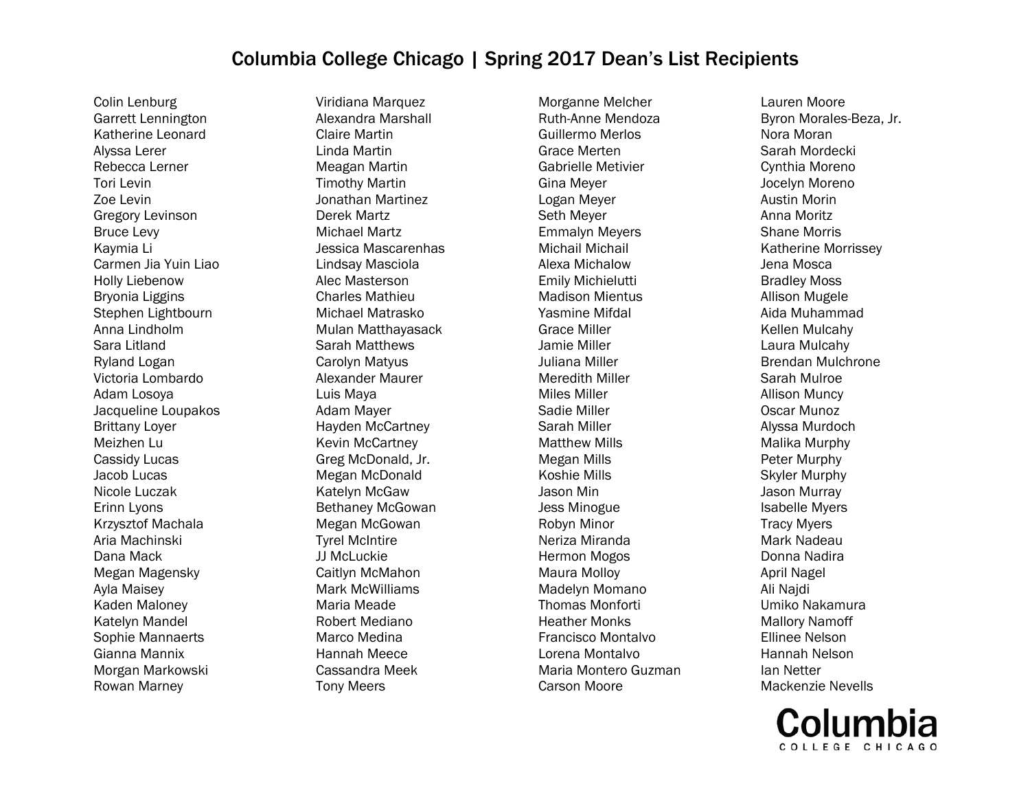Colin Lenburg Garrett Lennington Katherine Leonard Alyssa Lerer Rebecca Lerner Tori Levin Zoe Levin Gregory Levinson Bruce Levy Kaymia Li Carmen Jia Yuin Liao Holly Liebenow Bryonia Liggins Stephen Lightbourn Anna Lindholm Sara Litland Ryland Logan Victoria Lombardo Adam Losoya Jacqueline Loupakos Brittany Loyer Meizhen Lu Cassidy Lucas Jacob Lucas Nicole Luczak Erinn Lyons Krzysztof Machala Aria Machinski Dana Mack Megan Magensky Ayla Maisey Kaden Maloney Katelyn Mandel Sophie Mannaerts Gianna Mannix Morgan Markowski Rowan Marney

Viridiana Marquez Alexandra Marshall Claire Martin Linda Martin Meagan Martin Timothy Martin Jonathan Martinez Derek Martz Michael Martz Jessica Mascarenhas Lindsay Masciola Alec Masterson Charles Mathieu Michael Matrasko Mulan Matthayasack Sarah Matthews Carolyn Matyus Alexander Maurer Luis Maya Adam Mayer Hayden McCartney Kevin McCartney Greg McDonald, Jr. Megan McDonald Katelyn McGaw Bethaney McGowan Megan McGowan Tyrel McIntire JJ McLuckie Caitlyn McMahon Mark McWilliams Maria Meade Robert Mediano Marco Medina Hannah Meece Cassandra Meek Tony Meers

Morganne Melcher Ruth-Anne Mendoza Guillermo Merlos Grace Merten Gabrielle Metivier Gina Meyer Logan Meyer Seth Meyer Emmalyn Meyers Michail Michail Alexa Michalow Emily Michielutti Madison Mientus Yasmine Mifdal Grace Miller Jamie Miller Juliana Miller Meredith Miller Miles Miller Sadie Miller Sarah Miller Matthew Mills Megan Mills Koshie Mills Jason Min Jess Minogue Robyn Minor Neriza Miranda Hermon Mogos Maura Molloy Madelyn Momano Thomas Monforti Heather Monks Francisco Montalvo Lorena Montalvo Maria Montero Guzman Carson Moore

Lauren Moore Byron Morales-Beza, Jr. Nora Moran Sarah Mordecki Cynthia Moreno Jocelyn Moreno Austin Morin Anna Moritz Shane Morris Katherine Morrissey Jena Mosca Bradley Moss Allison Mugele Aida Muhammad Kellen Mulcahy Laura Mulcahy Brendan Mulchrone Sarah Mulroe Allison Muncy Oscar Munoz Alyssa Murdoch Malika Murphy Peter Murphy Skyler Murphy Jason Murray Isabelle Myers Tracy Myers Mark Nadeau Donna Nadira April Nagel Ali Najdi Umiko Nakamura Mallory Namoff Ellinee Nelson Hannah Nelson Ian Netter Mackenzie Nevells

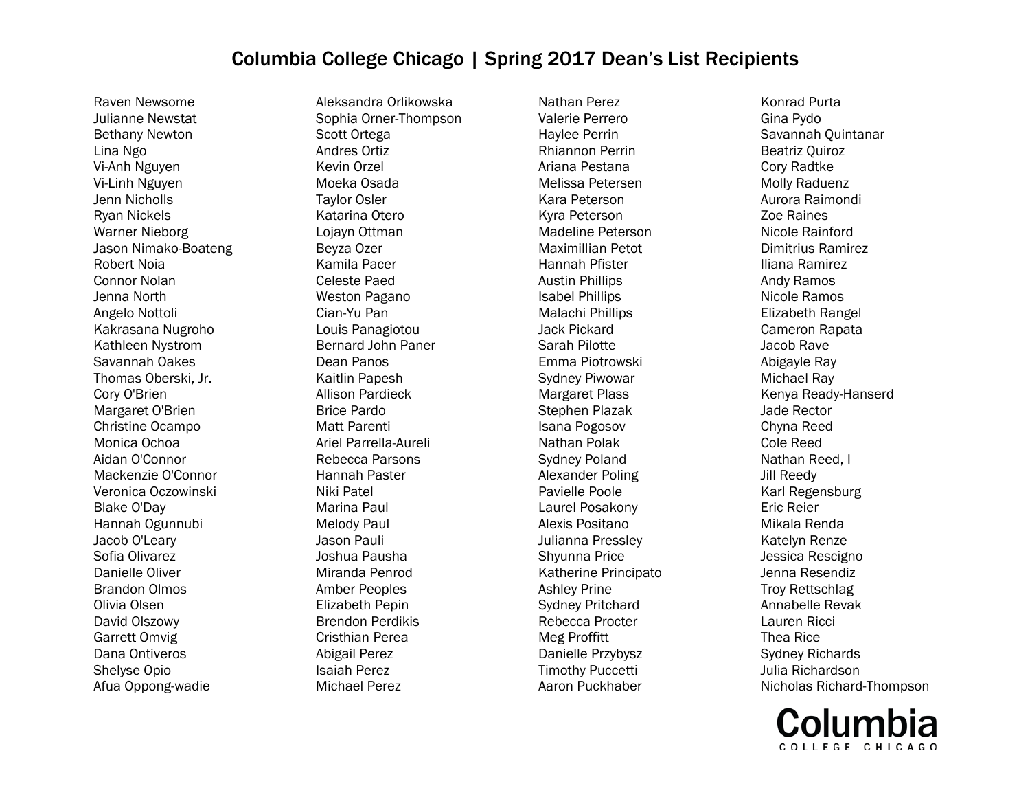Raven Newsome Julianne Newstat Bethany Newton Lina Ngo Vi-Anh Nguyen Vi-Linh Nguyen Jenn Nicholls Ryan Nickels Warner Nieborg Jason Nimako-Boateng Robert Noia Connor Nolan Jenna North Angelo Nottoli Kakrasana Nugroho Kathleen Nystrom Savannah Oakes Thomas Oberski, Jr. Cory O'Brien Margaret O'Brien Christine Ocampo Monica Ochoa Aidan O'Connor Mackenzie O'Connor Veronica Oczowinski Blake O'Day Hannah Ogunnubi Jacob O'Leary Sofia Olivarez Danielle Oliver Brandon Olmos Olivia Olsen David Olszowy Garrett Omvig Dana Ontiveros Shelyse Opio Afua Oppong-wadie

Aleksandra Orlikowska Sophia Orner-Thompson Scott Ortega Andres Ortiz Kevin Orzel Moeka Osada Taylor Osler Katarina Otero Lojayn Ottman Beyza Ozer Kamila Pacer Celeste Paed Weston Pagano Cian-Yu Pan Louis Panagiotou Bernard John Paner Dean Panos Kaitlin Papesh Allison Pardieck Brice Pardo Matt Parenti Ariel Parrella-Aureli Rebecca Parsons Hannah Paster Niki Patel Marina Paul Melody Paul Jason Pauli Joshua Pausha Miranda Penrod Amber Peoples Elizabeth Pepin Brendon Perdikis Cristhian Perea Abigail Perez Isaiah Perez Michael Perez

Nathan Perez Valerie Perrero Haylee Perrin Rhiannon Perrin Ariana Pestana Melissa Petersen Kara Peterson Kyra Peterson Madeline Peterson Maximillian Petot Hannah Pfister Austin Phillips Isabel Phillips Malachi Phillips Jack Pickard Sarah Pilotte Emma Piotrowski Sydney Piwowar Margaret Plass Stephen Plazak Isana Pogosov Nathan Polak Sydney Poland Alexander Poling Pavielle Poole Laurel Posakony Alexis Positano Julianna Pressley Shyunna Price Katherine Principato Ashley Prine Sydney Pritchard Rebecca Procter Meg Proffitt Danielle Przybysz Timothy Puccetti Aaron Puckhaber

Konrad Purta Gina Pydo Savannah Quintanar Beatriz Quiroz Cory Radtke Molly Raduenz Aurora Raimondi Zoe Raines Nicole Rainford Dimitrius Ramirez Iliana Ramirez Andy Ramos Nicole Ramos Elizabeth Rangel Cameron Rapata Jacob Rave Abigayle Ray Michael Ray Kenya Ready-Hanserd Jade Rector Chyna Reed Cole Reed Nathan Reed, I Jill Reedy Karl Regensburg Eric Reier Mikala Renda Katelyn Renze Jessica Rescigno Jenna Resendiz Troy Rettschlag Annabelle Revak Lauren Ricci Thea Rice Sydney Richards Julia Richardson Nicholas Richard-Thompson

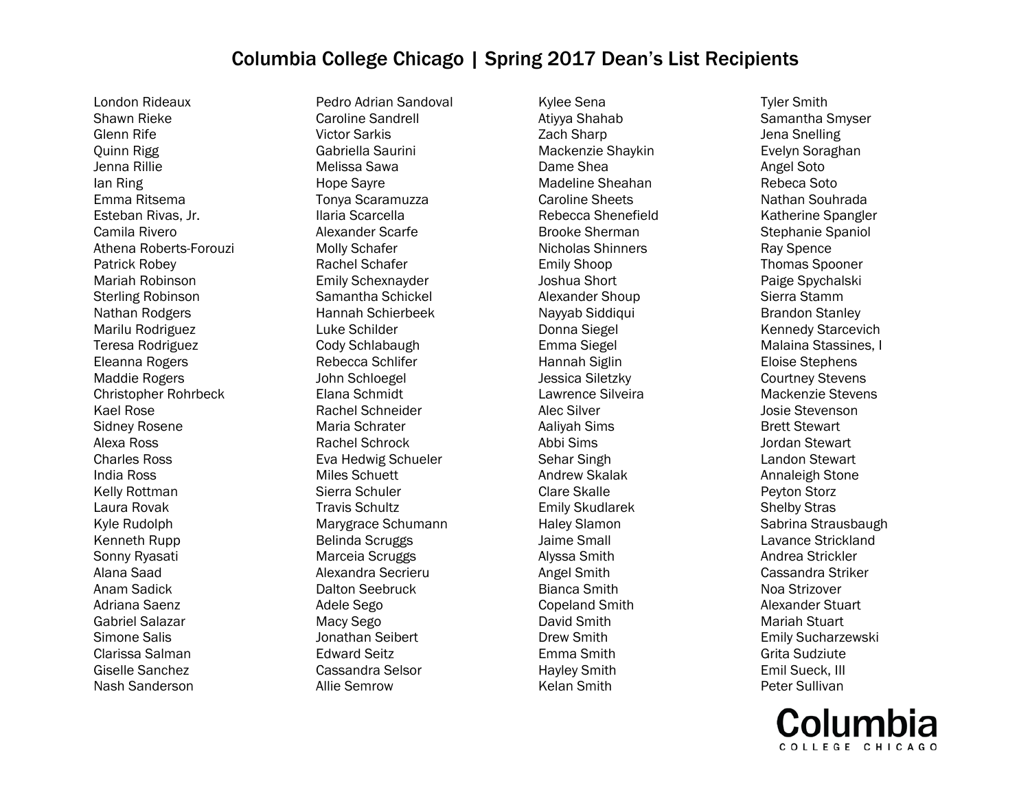London Rideaux Shawn Rieke Glenn Rife Quinn Rigg Jenna Rillie Ian Ring Emma Ritsema Esteban Rivas, Jr. Camila Rivero Athena Roberts-Forouzi Patrick Robey Mariah Robinson Sterling Robinson Nathan Rodgers Marilu Rodriguez Teresa Rodriguez Eleanna Rogers Maddie Rogers Christopher Rohrbeck Kael Rose Sidney Rosene Alexa Ross Charles Ross India Ross Kelly Rottman Laura Rovak Kyle Rudolph Kenneth Rupp Sonny Ryasati Alana Saad Anam Sadick Adriana Saenz Gabriel Salazar Simone Salis Clarissa Salman Giselle Sanchez Nash Sanderson

Pedro Adrian Sandoval Caroline Sandrell Victor Sarkis Gabriella Saurini Melissa Sawa Hope Sayre Tonya Scaramuzza Ilaria Scarcella Alexander Scarfe Molly Schafer Rachel Schafer Emily Schexnayder Samantha Schickel Hannah Schierbeek Luke Schilder Cody Schlabaugh Rebecca Schlifer John Schloegel Elana Schmidt Rachel Schneider Maria Schrater Rachel Schrock Eva Hedwig Schueler Miles Schuett Sierra Schuler Travis Schultz Marygrace Schumann Belinda Scruggs Marceia Scruggs Alexandra Secrieru Dalton Seebruck Adele Sego Macy Sego Jonathan Seibert Edward Seitz Cassandra Selsor Allie Semrow

Kylee Sena Atiyya Shahab Zach Sharp Mackenzie Shaykin Dame Shea Madeline Sheahan Caroline Sheets Rebecca Shenefield Brooke Sherman Nicholas Shinners Emily Shoop Joshua Short Alexander Shoup Nayyab Siddiqui Donna Siegel Emma Siegel Hannah Siglin Jessica Siletzky Lawrence Silveira Alec Silver Aaliyah Sims Abbi Sims Sehar Singh Andrew Skalak Clare Skalle Emily Skudlarek Haley Slamon Jaime Small Alyssa Smith Angel Smith Bianca Smith Copeland Smith David Smith Drew Smith Emma Smith Hayley Smith Kelan Smith

Tyler Smith Samantha Smyser Jena Snelling Evelyn Soraghan Angel Soto Rebeca Soto Nathan Souhrada Katherine Spangler Stephanie Spaniol Ray Spence Thomas Spooner Paige Spychalski Sierra Stamm Brandon Stanley Kennedy Starcevich Malaina Stassines, I Eloise Stephens Courtney Stevens Mackenzie Stevens Josie Stevenson Brett Stewart Jordan Stewart Landon Stewart Annaleigh Stone Peyton Storz Shelby Stras Sabrina Strausbaugh Lavance Strickland Andrea Strickler Cassandra Striker Noa Strizover Alexander Stuart Mariah Stuart Emily Sucharzewski Grita Sudziute Emil Sueck, III Peter Sullivan

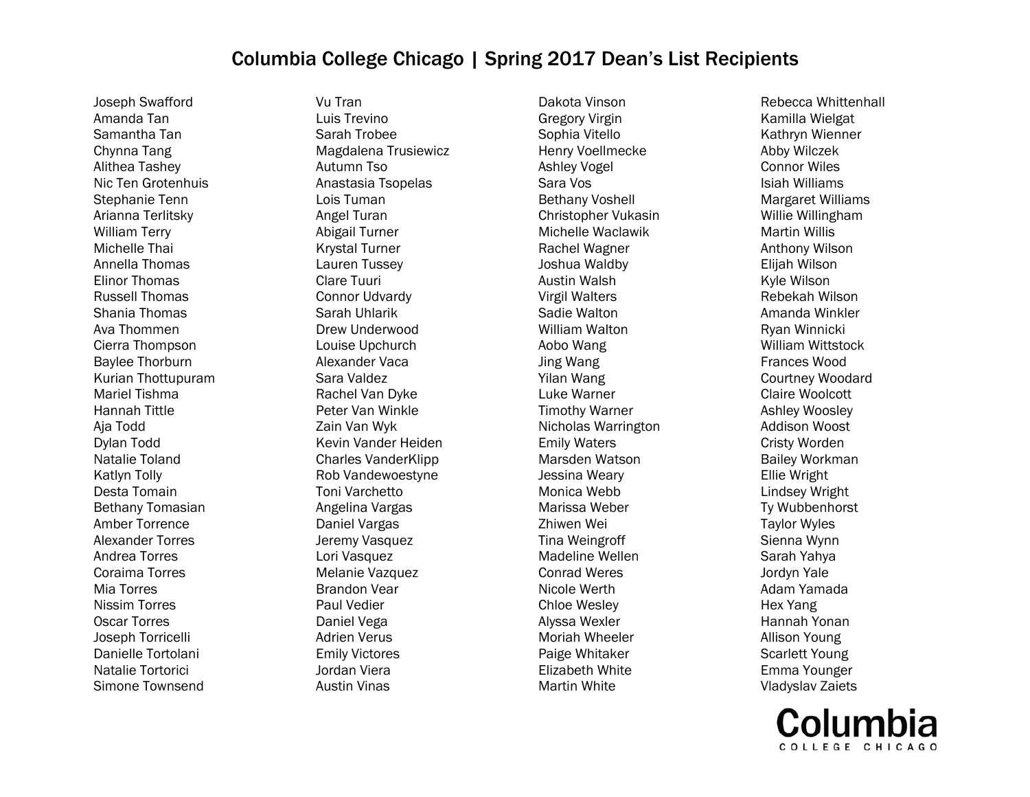Joseph Swafford Amanda Tan Samantha Tan Chynna Tang Alithea Tashey Nic Ten Grotenhuis Stephanie Tenn Arianna Terlitsky William Terry Michelle Thai Annella Thomas Elinor Thomas Russell Thomas Shania Thomas Ava Thommen Cierra Thompson Baylee Thorburn Kurian Thottupuram Mariel Tishma Hannah Tittle Aja Todd Dylan Todd Natalie Toland Katlyn Tolly Desta Tomain Bethany Tomasian Amber Torrence Alexander Torres Andrea Torres Coraima Torres Mia Torres Nissim Torres Oscar Torres Joseph Torricelli Danielle Tortolani Natalie Tortorici Simone Townsend

Vu Tran Luis Trevino Sarah Trobee Magdalena Trusiewicz Autumn Tso Anastasia Tsopelas Lois Tuman Angel Turan Abigail Turner Krystal Turner Lauren Tussey Clare Tuuri Connor Udvardy Sarah Uhlarik Drew Underwood Louise Upchurch Alexander Vaca Sara Valdez Rachel Van Dyke Peter Van Winkle Zain Van Wyk Kevin Vander Heiden Charles VanderKlipp Rob Vandewoestyne Toni Varchetto Angelina Vargas Daniel Vargas Jeremy Vasquez Lori Vasquez Melanie Vazquez Brandon Vear Paul Vedier Daniel Vega Adrien Verus Emily Victores Jordan Viera Austin Vinas

Dakota Vinson Gregory Virgin Sophia Vitello Henry Voellmecke Ashley Vogel Sara Vos Bethany Voshell Christopher Vukasin Michelle Waclawik Rachel Wagner Joshua Waldby Austin Walsh Virgil Walters Sadie Walton William Walton Aobo Wang Jing Wang Yilan Wang Luke Warner Timothy Warner Nicholas Warrington Emily Waters Marsden Watson Jessina Weary Monica Webb Marissa Weber Zhiwen Wei Tina Weingroff Madeline Wellen Conrad Weres Nicole Werth Chloe Wesley Alyssa Wexler Moriah Wheeler Paige Whitaker Elizabeth White Martin White

Rebecca Whittenhall Kamilla Wielgat Kathryn Wienner Abby Wilczek Connor Wiles Isiah Williams Margaret Williams Willie Willingham Martin Willis Anthony Wilson Elijah Wilson Kyle Wilson Rebekah Wilson Amanda Winkler Ryan Winnicki William Wittstock Frances Wood Courtney Woodard Claire Woolcott Ashley Woosley Addison Woost Cristy Worden Bailey Workman Ellie Wright Lindsey Wright Ty Wubbenhorst Taylor Wyles Sienna Wynn Sarah Yahya Jordyn Yale Adam Yamada Hex Yang Hannah Yonan Allison Young Scarlett Young Emma Younger Vladyslav Zaiets

COLLEGE CHICAGO